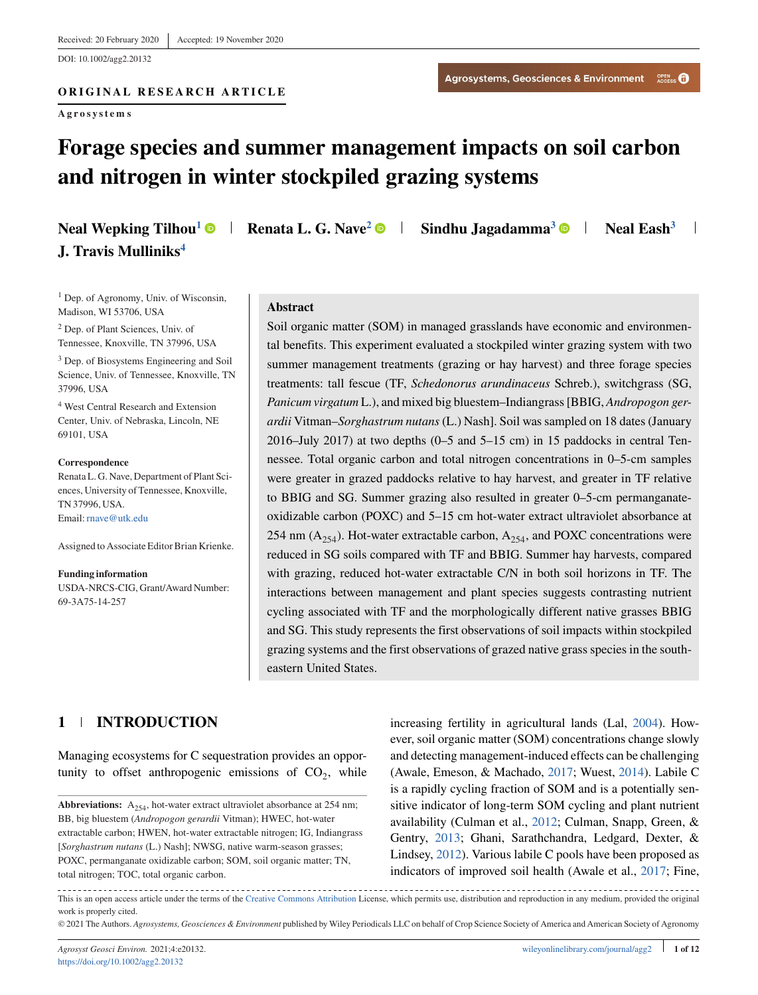DOI: 10.1002/agg2.20132

**Agrosystems**

# **Forage species and summer management impacts on soil carbon and nitrogen in winter stockpiled grazing systems**

| <b>Neal Wepking Tilhou<sup>1</sup> O</b> |  |
|------------------------------------------|--|
| J. Travis Mulliniks <sup>4</sup>         |  |

**Neal Eash** Neal Eash<sup>3</sup> **Sindhu Jagadamma**<sup>3</sup> **Neal Eash**<sup>3</sup>

<sup>1</sup> Dep. of Agronomy, Univ. of Wisconsin, Madison, WI 53706, USA

<sup>2</sup> Dep. of Plant Sciences, Univ. of Tennessee, Knoxville, TN 37996, USA

<sup>3</sup> Dep. of Biosystems Engineering and Soil Science, Univ. of Tennessee, Knoxville, TN 37996, USA

<sup>4</sup> West Central Research and Extension Center, Univ. of Nebraska, Lincoln, NE 69101, USA

**Correspondence** Renata L. G. Nave, Department of Plant Sciences, University of Tennessee, Knoxville, TN 37996, USA. Email:[rnave@utk.edu](mailto:rnave@utk.edu)

Assigned to Associate Editor Brian Krienke.

**Funding information** USDA-NRCS-CIG, Grant/Award Number: 69-3A75-14-257

#### **Abstract**

Soil organic matter (SOM) in managed grasslands have economic and environmental benefits. This experiment evaluated a stockpiled winter grazing system with two summer management treatments (grazing or hay harvest) and three forage species treatments: tall fescue (TF, *Schedonorus arundinaceus* Schreb.), switchgrass (SG, *Panicum virgatum* L.), and mixed big bluestem–Indiangrass [BBIG, *Andropogon gerardii* Vitman–*Sorghastrum nutans* (L.) Nash]. Soil was sampled on 18 dates (January 2016–July 2017) at two depths (0–5 and 5–15 cm) in 15 paddocks in central Tennessee. Total organic carbon and total nitrogen concentrations in 0–5-cm samples were greater in grazed paddocks relative to hay harvest, and greater in TF relative to BBIG and SG. Summer grazing also resulted in greater 0–5-cm permanganateoxidizable carbon (POXC) and 5–15 cm hot-water extract ultraviolet absorbance at 254 nm  $(A_{254})$ . Hot-water extractable carbon,  $A_{254}$ , and POXC concentrations were reduced in SG soils compared with TF and BBIG. Summer hay harvests, compared with grazing, reduced hot-water extractable C/N in both soil horizons in TF. The interactions between management and plant species suggests contrasting nutrient cycling associated with TF and the morphologically different native grasses BBIG and SG. This study represents the first observations of soil impacts within stockpiled grazing systems and the first observations of grazed native grass species in the southeastern United States.

# **1 INTRODUCTION**

Managing ecosystems for C sequestration provides an opportunity to offset anthropogenic emissions of  $CO<sub>2</sub>$ , while increasing fertility in agricultural lands (Lal, [2004\)](#page-10-0). However, soil organic matter (SOM) concentrations change slowly and detecting management-induced effects can be challenging (Awale, Emeson, & Machado, [2017;](#page-9-0) Wuest, [2014\)](#page-11-0). Labile C is a rapidly cycling fraction of SOM and is a potentially sensitive indicator of long-term SOM cycling and plant nutrient availability (Culman et al., [2012;](#page-9-0) Culman, Snapp, Green, & Gentry, [2013;](#page-9-0) Ghani, Sarathchandra, Ledgard, Dexter, & Lindsey, [2012\)](#page-10-0). Various labile C pools have been proposed as indicators of improved soil health (Awale et al., [2017;](#page-9-0) Fine,

--------------------------------This is an open access article under the terms of the [Creative Commons Attribution](http://creativecommons.org/licenses/by/4.0/) License, which permits use, distribution and reproduction in any medium, provided the original work is properly cited.

© 2021 The Authors. *Agrosystems, Geosciences & Environment* published by Wiley Periodicals LLC on behalf of Crop Science Society of America and American Society of Agronomy

**Abbreviations:**  $A_{254}$ , hot-water extract ultraviolet absorbance at 254 nm; BB, big bluestem (*Andropogon gerardii* Vitman); HWEC, hot-water extractable carbon; HWEN, hot-water extractable nitrogen; IG, Indiangrass [*Sorghastrum nutans* (L.) Nash]; NWSG, native warm-season grasses; POXC, permanganate oxidizable carbon; SOM, soil organic matter; TN, total nitrogen; TOC, total organic carbon.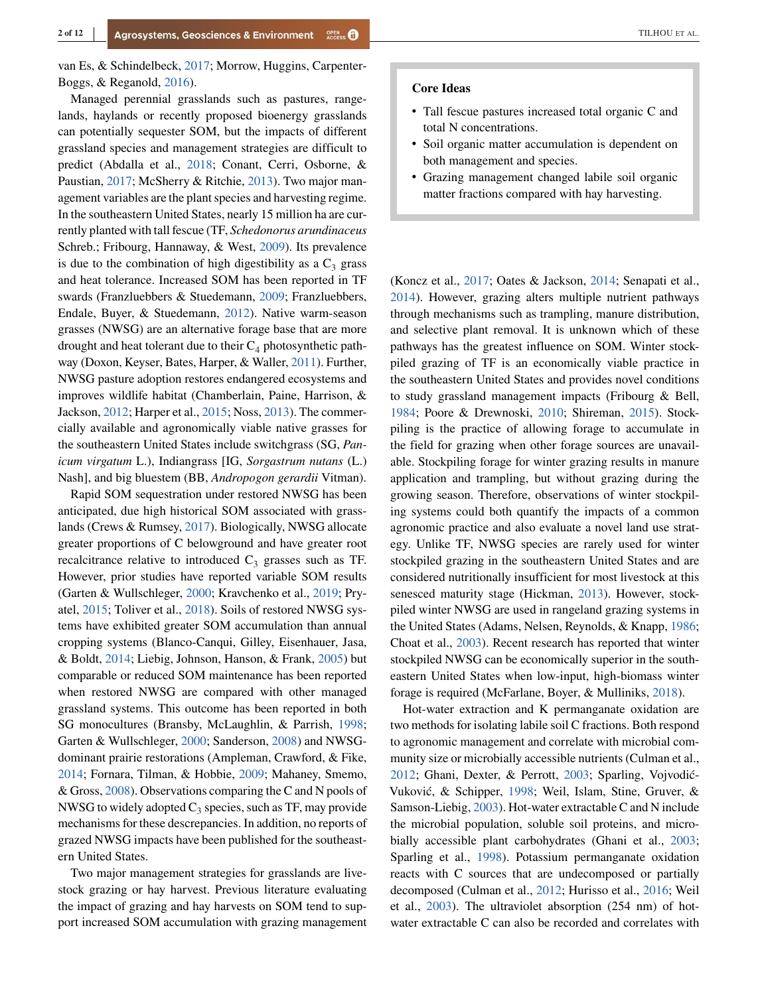van Es, & Schindelbeck, [2017;](#page-10-0) Morrow, Huggins, Carpenter-Boggs, & Reganold, [2016\)](#page-11-0).

Managed perennial grasslands such as pastures, rangelands, haylands or recently proposed bioenergy grasslands can potentially sequester SOM, but the impacts of different grassland species and management strategies are difficult to predict (Abdalla et al., [2018;](#page-9-0) Conant, Cerri, Osborne, & Paustian, [2017;](#page-9-0) McSherry & Ritchie, [2013\)](#page-10-0). Two major management variables are the plant species and harvesting regime. In the southeastern United States, nearly 15 million ha are currently planted with tall fescue (TF, *Schedonorus arundinaceus* Schreb.; Fribourg, Hannaway, & West, [2009\)](#page-10-0). Its prevalence is due to the combination of high digestibility as a  $C_3$  grass and heat tolerance. Increased SOM has been reported in TF swards (Franzluebbers & Stuedemann, [2009;](#page-10-0) Franzluebbers, Endale, Buyer, & Stuedemann, [2012\)](#page-10-0). Native warm-season grasses (NWSG) are an alternative forage base that are more drought and heat tolerant due to their  $C_4$  photosynthetic pathway (Doxon, Keyser, Bates, Harper, & Waller, [2011\)](#page-9-0). Further, NWSG pasture adoption restores endangered ecosystems and improves wildlife habitat (Chamberlain, Paine, Harrison, & Jackson, [2012;](#page-9-0) Harper et al., [2015;](#page-10-0) Noss, [2013\)](#page-11-0). The commercially available and agronomically viable native grasses for the southeastern United States include switchgrass (SG, *Panicum virgatum* L.), Indiangrass [IG, *Sorgastrum nutans* (L.) Nash], and big bluestem (BB, *Andropogon gerardii* Vitman).

Rapid SOM sequestration under restored NWSG has been anticipated, due high historical SOM associated with grasslands (Crews & Rumsey, [2017\)](#page-9-0). Biologically, NWSG allocate greater proportions of C belowground and have greater root recalcitrance relative to introduced  $C_3$  grasses such as TF. However, prior studies have reported variable SOM results (Garten & Wullschleger, [2000;](#page-10-0) Kravchenko et al., [2019;](#page-10-0) Pryatel, [2015;](#page-11-0) Toliver et al., [2018\)](#page-11-0). Soils of restored NWSG systems have exhibited greater SOM accumulation than annual cropping systems (Blanco-Canqui, Gilley, Eisenhauer, Jasa, & Boldt, [2014;](#page-9-0) Liebig, Johnson, Hanson, & Frank, [2005\)](#page-10-0) but comparable or reduced SOM maintenance has been reported when restored NWSG are compared with other managed grassland systems. This outcome has been reported in both SG monocultures (Bransby, McLaughlin, & Parrish, [1998;](#page-9-0) Garten & Wullschleger, [2000;](#page-10-0) Sanderson, [2008\)](#page-11-0) and NWSGdominant prairie restorations (Ampleman, Crawford, & Fike, [2014;](#page-9-0) Fornara, Tilman, & Hobbie, [2009;](#page-10-0) Mahaney, Smemo, & Gross, [2008\)](#page-10-0). Observations comparing the C and N pools of NWSG to widely adopted  $C_3$  species, such as TF, may provide mechanisms for these descrepancies. In addition, no reports of grazed NWSG impacts have been published for the southeastern United States.

Two major management strategies for grasslands are livestock grazing or hay harvest. Previous literature evaluating the impact of grazing and hay harvests on SOM tend to support increased SOM accumulation with grazing management

#### **Core Ideas**

- <sup>∙</sup> Tall fescue pastures increased total organic C and total N concentrations.
- <sup>∙</sup> Soil organic matter accumulation is dependent on both management and species.
- <sup>∙</sup> Grazing management changed labile soil organic matter fractions compared with hay harvesting.

(Koncz et al., [2017;](#page-10-0) Oates & Jackson, [2014;](#page-11-0) Senapati et al., [2014\)](#page-11-0). However, grazing alters multiple nutrient pathways through mechanisms such as trampling, manure distribution, and selective plant removal. It is unknown which of these pathways has the greatest influence on SOM. Winter stockpiled grazing of TF is an economically viable practice in the southeastern United States and provides novel conditions to study grassland management impacts (Fribourg & Bell, [1984;](#page-10-0) Poore & Drewnoski, [2010;](#page-11-0) Shireman, [2015\)](#page-11-0). Stockpiling is the practice of allowing forage to accumulate in the field for grazing when other forage sources are unavailable. Stockpiling forage for winter grazing results in manure application and trampling, but without grazing during the growing season. Therefore, observations of winter stockpiling systems could both quantify the impacts of a common agronomic practice and also evaluate a novel land use strategy. Unlike TF, NWSG species are rarely used for winter stockpiled grazing in the southeastern United States and are considered nutritionally insufficient for most livestock at this senesced maturity stage (Hickman, [2013\)](#page-10-0). However, stockpiled winter NWSG are used in rangeland grazing systems in the United States (Adams, Nelsen, Reynolds, & Knapp, [1986;](#page-9-0) Choat et al., [2003\)](#page-9-0). Recent research has reported that winter stockpiled NWSG can be economically superior in the southeastern United States when low-input, high-biomass winter forage is required (McFarlane, Boyer, & Mulliniks, [2018\)](#page-10-0).

Hot-water extraction and K permanganate oxidation are two methods for isolating labile soil C fractions. Both respond to agronomic management and correlate with microbial community size or microbially accessible nutrients (Culman et al., [2012;](#page-9-0) Ghani, Dexter, & Perrott, [2003;](#page-10-0) Sparling, Vojvodić-Vuković, & Schipper, [1998;](#page-11-0) Weil, Islam, Stine, Gruver, & Samson-Liebig, [2003\)](#page-11-0). Hot-water extractable C and N include the microbial population, soluble soil proteins, and microbially accessible plant carbohydrates (Ghani et al., [2003;](#page-10-0) Sparling et al., [1998\)](#page-11-0). Potassium permanganate oxidation reacts with C sources that are undecomposed or partially decomposed (Culman et al., [2012;](#page-9-0) Hurisso et al., [2016;](#page-10-0) Weil et al., [2003\)](#page-11-0). The ultraviolet absorption (254 nm) of hotwater extractable C can also be recorded and correlates with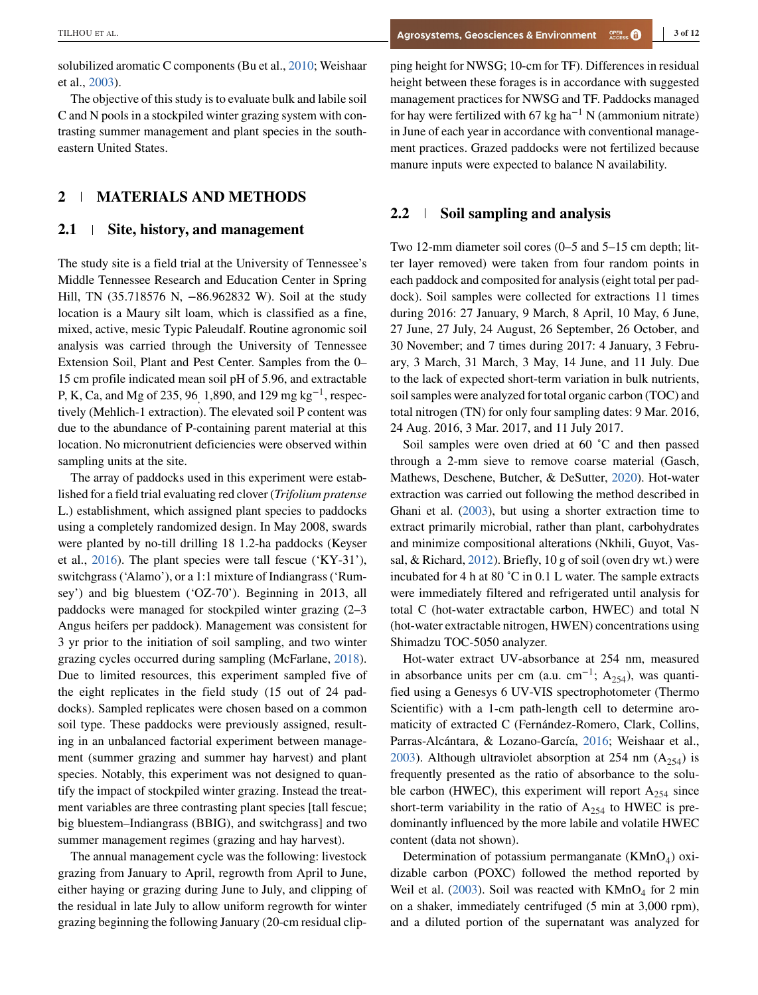solubilized aromatic C components (Bu et al., [2010;](#page-9-0) Weishaar et al., [2003\)](#page-11-0).

The objective of this study is to evaluate bulk and labile soil C and N pools in a stockpiled winter grazing system with contrasting summer management and plant species in the southeastern United States.

# **2 MATERIALS AND METHODS**

### **2.1 Site, history, and management**

The study site is a field trial at the University of Tennessee's Middle Tennessee Research and Education Center in Spring Hill, TN (35.718576 N, −86.962832 W). Soil at the study location is a Maury silt loam, which is classified as a fine, mixed, active, mesic Typic Paleudalf. Routine agronomic soil analysis was carried through the University of Tennessee Extension Soil, Plant and Pest Center. Samples from the 0– 15 cm profile indicated mean soil pH of 5.96, and extractable P, K, Ca, and Mg of 235, 96, 1,890, and 129 mg kg<sup>-1</sup>, respectively (Mehlich-1 extraction). The elevated soil P content was due to the abundance of P-containing parent material at this location. No micronutrient deficiencies were observed within sampling units at the site.

The array of paddocks used in this experiment were established for a field trial evaluating red clover (*Trifolium pratense* L.) establishment, which assigned plant species to paddocks using a completely randomized design. In May 2008, swards were planted by no-till drilling 18 1.2-ha paddocks (Keyser et al., [2016\)](#page-10-0). The plant species were tall fescue ('KY-31'), switchgrass ('Alamo'), or a 1:1 mixture of Indiangrass ('Rumsey') and big bluestem ('OZ-70'). Beginning in 2013, all paddocks were managed for stockpiled winter grazing (2–3 Angus heifers per paddock). Management was consistent for 3 yr prior to the initiation of soil sampling, and two winter grazing cycles occurred during sampling (McFarlane, [2018\)](#page-10-0). Due to limited resources, this experiment sampled five of the eight replicates in the field study (15 out of 24 paddocks). Sampled replicates were chosen based on a common soil type. These paddocks were previously assigned, resulting in an unbalanced factorial experiment between management (summer grazing and summer hay harvest) and plant species. Notably, this experiment was not designed to quantify the impact of stockpiled winter grazing. Instead the treatment variables are three contrasting plant species [tall fescue; big bluestem–Indiangrass (BBIG), and switchgrass] and two summer management regimes (grazing and hay harvest).

The annual management cycle was the following: livestock grazing from January to April, regrowth from April to June, either haying or grazing during June to July, and clipping of the residual in late July to allow uniform regrowth for winter grazing beginning the following January (20-cm residual clipping height for NWSG; 10-cm for TF). Differences in residual height between these forages is in accordance with suggested management practices for NWSG and TF. Paddocks managed for hay were fertilized with 67 kg ha<sup>-1</sup> N (ammonium nitrate) in June of each year in accordance with conventional management practices. Grazed paddocks were not fertilized because manure inputs were expected to balance N availability.

### **2.2 Soil sampling and analysis**

Two 12-mm diameter soil cores (0–5 and 5–15 cm depth; litter layer removed) were taken from four random points in each paddock and composited for analysis (eight total per paddock). Soil samples were collected for extractions 11 times during 2016: 27 January, 9 March, 8 April, 10 May, 6 June, 27 June, 27 July, 24 August, 26 September, 26 October, and 30 November; and 7 times during 2017: 4 January, 3 February, 3 March, 31 March, 3 May, 14 June, and 11 July. Due to the lack of expected short-term variation in bulk nutrients, soil samples were analyzed for total organic carbon (TOC) and total nitrogen (TN) for only four sampling dates: 9 Mar. 2016, 24 Aug. 2016, 3 Mar. 2017, and 11 July 2017.

Soil samples were oven dried at 60 ˚C and then passed through a 2-mm sieve to remove coarse material (Gasch, Mathews, Deschene, Butcher, & DeSutter, [2020\)](#page-10-0). Hot-water extraction was carried out following the method described in Ghani et al. [\(2003\)](#page-10-0), but using a shorter extraction time to extract primarily microbial, rather than plant, carbohydrates and minimize compositional alterations (Nkhili, Guyot, Vassal, & Richard, [2012\)](#page-11-0). Briefly, 10 g of soil (oven dry wt.) were incubated for 4 h at 80 ˚C in 0.1 L water. The sample extracts were immediately filtered and refrigerated until analysis for total C (hot-water extractable carbon, HWEC) and total N (hot-water extractable nitrogen, HWEN) concentrations using Shimadzu TOC-5050 analyzer.

Hot-water extract UV-absorbance at 254 nm, measured in absorbance units per cm (a.u. cm<sup>-1</sup>; A<sub>254</sub>), was quantified using a Genesys 6 UV-VIS spectrophotometer (Thermo Scientific) with a 1-cm path-length cell to determine aromaticity of extracted C (Fernández-Romero, Clark, Collins, Parras-Alcántara, & Lozano-García, [2016;](#page-9-0) Weishaar et al., [2003\)](#page-11-0). Although ultraviolet absorption at 254 nm  $(A_{254})$  is frequently presented as the ratio of absorbance to the soluble carbon (HWEC), this experiment will report  $A_{254}$  since short-term variability in the ratio of  $A_{254}$  to HWEC is predominantly influenced by the more labile and volatile HWEC content (data not shown).

Determination of potassium permanganate  $(KMnO<sub>4</sub>)$  oxidizable carbon (POXC) followed the method reported by Weil et al. [\(2003\)](#page-11-0). Soil was reacted with  $KMnO<sub>4</sub>$  for 2 min on a shaker, immediately centrifuged (5 min at 3,000 rpm), and a diluted portion of the supernatant was analyzed for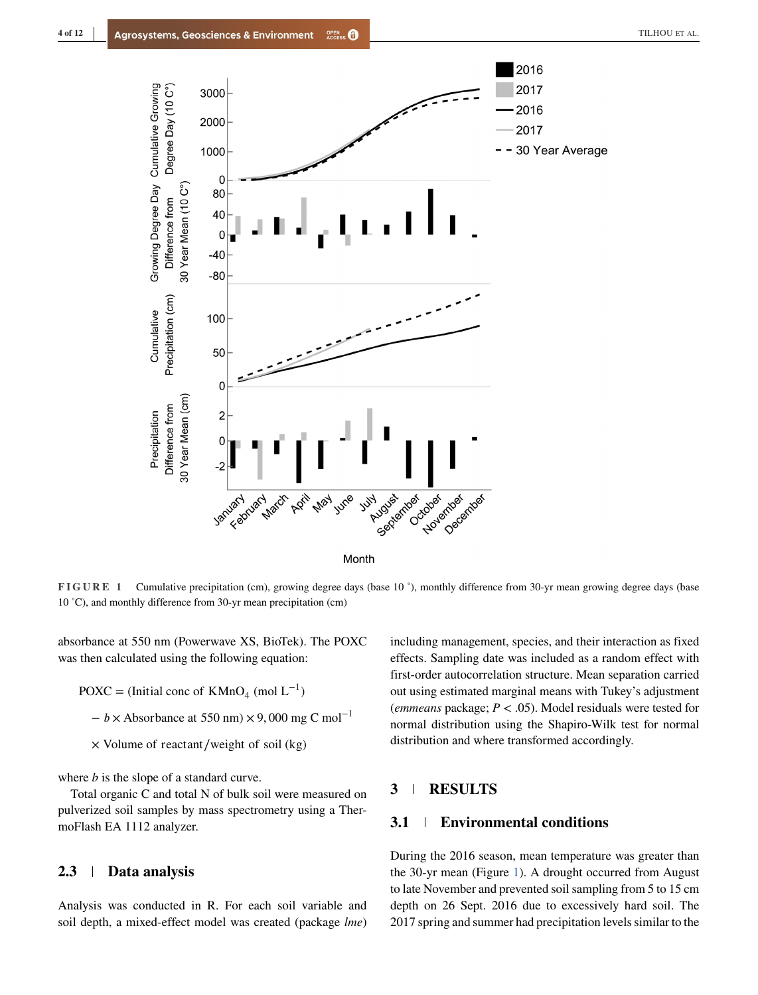<span id="page-3-0"></span>

**FIGURE 1** Cumulative precipitation (cm), growing degree days (base 10 °), monthly difference from 30-yr mean growing degree days (base 10 ˚C), and monthly difference from 30-yr mean precipitation (cm)

absorbance at 550 nm (Powerwave XS, BioTek). The POXC was then calculated using the following equation:

- POXC = (Initial conc of KMnO<sub>4</sub> (mol  $L^{-1}$ )
	- − × Absorbance at 550 nm) × 9*,* 000 mg C mol−1
	- × Volume of reactant∕weight of soil (kg)

where *b* is the slope of a standard curve.

Total organic C and total N of bulk soil were measured on pulverized soil samples by mass spectrometry using a ThermoFlash EA 1112 analyzer.

### **2.3 Data analysis**

Analysis was conducted in R. For each soil variable and soil depth, a mixed-effect model was created (package *lme*)

including management, species, and their interaction as fixed effects. Sampling date was included as a random effect with first-order autocorrelation structure. Mean separation carried out using estimated marginal means with Tukey's adjustment (*emmeans* package; *P <* .05). Model residuals were tested for normal distribution using the Shapiro-Wilk test for normal distribution and where transformed accordingly.

# **3 RESULTS**

# **3.1 Environmental conditions**

During the 2016 season, mean temperature was greater than the 30-yr mean (Figure 1). A drought occurred from August to late November and prevented soil sampling from 5 to 15 cm depth on 26 Sept. 2016 due to excessively hard soil. The 2017 spring and summer had precipitation levels similar to the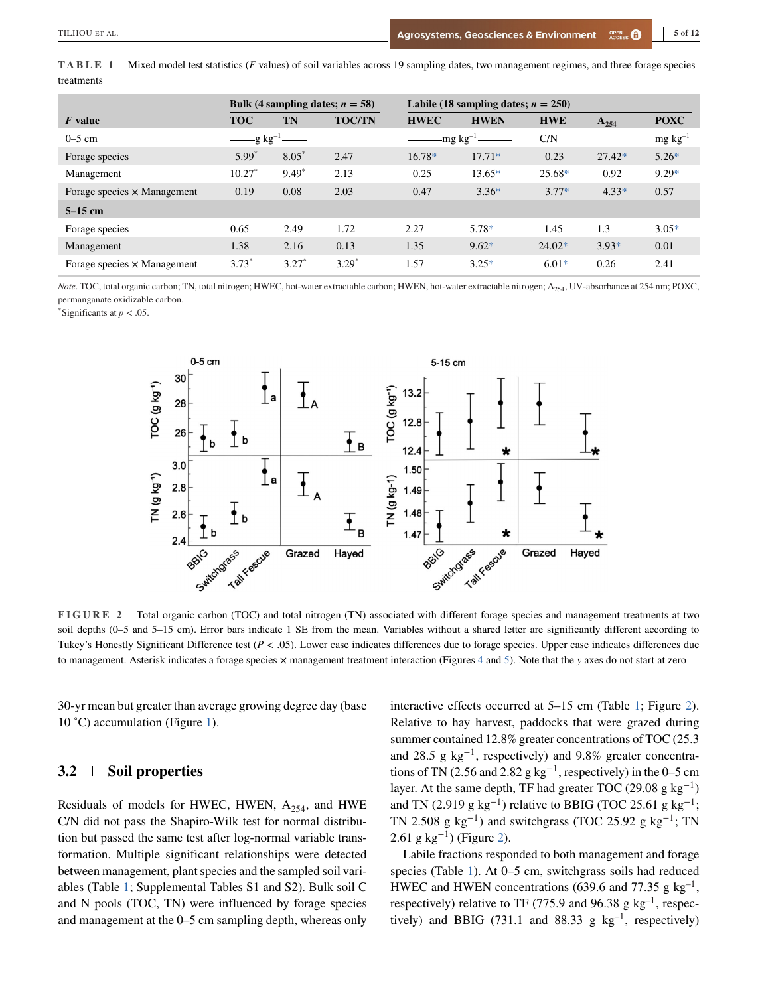<span id="page-4-0"></span>

|            | <b>TABLE 1</b> Mixed model test statistics (F values) of soil variables across 19 sampling dates, two management regimes, and three forage species |
|------------|----------------------------------------------------------------------------------------------------------------------------------------------------|
| treatments |                                                                                                                                                    |

|                                    | Bulk (4 sampling dates; $n = 58$ ) |         |                  | Labile (18 sampling dates; $n = 250$ ) |             |            |                 |             |
|------------------------------------|------------------------------------|---------|------------------|----------------------------------------|-------------|------------|-----------------|-------------|
| $F$ value                          | <b>TOC</b>                         | TN      | <b>TOC/TN</b>    | <b>HWEC</b>                            | <b>HWEN</b> | <b>HWE</b> | $A_{254}$       | <b>POXC</b> |
| $0-5$ cm                           | $-g \ kg^{-1}$ ——                  |         | -mg kg $^{-1}$ - |                                        | C/N         |            | $mg \, kg^{-1}$ |             |
| Forage species                     | $5.99*$                            | $8.05*$ | 2.47             | $16.78*$                               | $17.71*$    | 0.23       | $27.42*$        | $5.26*$     |
| Management                         | $10.27*$                           | $9.49*$ | 2.13             | 0.25                                   | $13.65*$    | $25.68*$   | 0.92            | $9.29*$     |
| Forage species $\times$ Management | 0.19                               | 0.08    | 2.03             | 0.47                                   | $3.36*$     | $3.77*$    | $4.33*$         | 0.57        |
| $5-15$ cm                          |                                    |         |                  |                                        |             |            |                 |             |
| Forage species                     | 0.65                               | 2.49    | 1.72             | 2.27                                   | 5.78*       | 1.45       | 1.3             | $3.05*$     |
| Management                         | 1.38                               | 2.16    | 0.13             | 1.35                                   | $9.62*$     | $24.02*$   | $3.93*$         | 0.01        |
| Forage species $\times$ Management | $3.73*$                            | $3.27*$ | $3.29*$          | 1.57                                   | $3.25*$     | $6.01*$    | 0.26            | 2.41        |

*Note*. TOC, total organic carbon; TN, total nitrogen; HWEC, hot-water extractable carbon; HWEN, hot-water extractable nitrogen; A254, UV-absorbance at 254 nm; POXC, permanganate oxidizable carbon.

\*Significants at *p <* .05.



**FIGURE 2** Total organic carbon (TOC) and total nitrogen (TN) associated with different forage species and management treatments at two soil depths (0–5 and 5–15 cm). Error bars indicate 1 SE from the mean. Variables without a shared letter are significantly different according to Tukey's Honestly Significant Difference test (*P <* .05). Lower case indicates differences due to forage species. Upper case indicates differences due to management. Asterisk indicates a forage species × management treatment interaction (Figures [4](#page-6-0) and [5\)](#page-7-0). Note that the *<sup>y</sup>* axes do not start at zero

30-yr mean but greater than average growing degree day (base 10 °C) accumulation (Figure [1\)](#page-3-0).

### **3.2 Soil properties**

Residuals of models for HWEC, HWEN,  $A_{254}$ , and HWE C/N did not pass the Shapiro-Wilk test for normal distribution but passed the same test after log-normal variable transformation. Multiple significant relationships were detected between management, plant species and the sampled soil variables (Table 1; Supplemental Tables S1 and S2). Bulk soil C and N pools (TOC, TN) were influenced by forage species and management at the 0–5 cm sampling depth, whereas only

interactive effects occurred at 5–15 cm (Table 1; Figure 2). Relative to hay harvest, paddocks that were grazed during summer contained 12.8% greater concentrations of TOC (25.3 and 28.5 g kg−1, respectively) and 9.8% greater concentrations of TN (2.56 and 2.82 g kg<sup>-1</sup>, respectively) in the 0–5 cm layer. At the same depth, TF had greater TOC (29.08 g kg<sup>-1</sup>) and TN (2.919 g kg<sup>-1</sup>) relative to BBIG (TOC 25.61 g kg<sup>-1</sup>; TN 2.508 g kg<sup>-1</sup>) and switchgrass (TOC 25.92 g kg<sup>-1</sup>; TN 2.61 g kg<sup>-1</sup>) (Figure 2).

Labile fractions responded to both management and forage species (Table 1). At 0–5 cm, switchgrass soils had reduced HWEC and HWEN concentrations (639.6 and 77.35 g kg<sup>-1</sup>, respectively) relative to TF (775.9 and 96.38 g  $kg^{-1}$ , respectively) and BBIG (731.1 and 88.33 g  $kg^{-1}$ , respectively)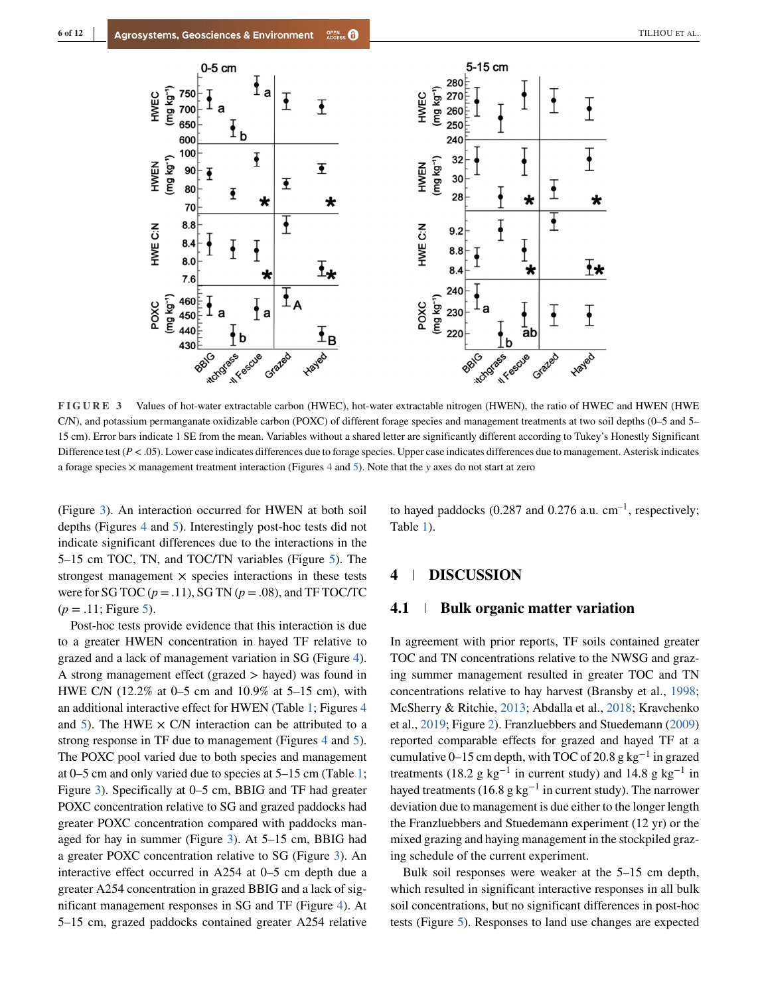<span id="page-5-0"></span>

**FIGURE 3** Values of hot-water extractable carbon (HWEC), hot-water extractable nitrogen (HWEN), the ratio of HWEC and HWEN (HWE C/N), and potassium permanganate oxidizable carbon (POXC) of different forage species and management treatments at two soil depths (0–5 and 5– 15 cm). Error bars indicate 1 SE from the mean. Variables without a shared letter are significantly different according to Tukey's Honestly Significant Difference test  $(P < .05)$ . Lower case indicates differences due to forage species. Upper case indicates differences due to management. Asterisk indicates a forage species × management treatment interaction (Figures [4](#page-6-0) and [5\)](#page-7-0). Note that the *<sup>y</sup>* axes do not start at zero

(Figure 3). An interaction occurred for HWEN at both soil depths (Figures [4](#page-6-0) and [5\)](#page-7-0). Interestingly post-hoc tests did not indicate significant differences due to the interactions in the 5–15 cm TOC, TN, and TOC/TN variables (Figure [5\)](#page-7-0). The strongest management  $\times$  species interactions in these tests were for SG TOC  $(p = .11)$ , SG TN  $(p = .08)$ , and TF TOC/TC  $(p = .11;$  Figure [5\)](#page-7-0).

Post-hoc tests provide evidence that this interaction is due to a greater HWEN concentration in hayed TF relative to grazed and a lack of management variation in SG (Figure [4\)](#page-6-0). A strong management effect (grazed *>* hayed) was found in HWE C/N (12.2% at 0–5 cm and 10.9% at 5–15 cm), with an additional interactive effect for HWEN (Table [1;](#page-4-0) Figures [4](#page-6-0) and [5\)](#page-7-0). The HWE  $\times$  C/N interaction can be attributed to a strong response in TF due to management (Figures [4](#page-6-0) and [5\)](#page-7-0). The POXC pool varied due to both species and management at 0–5 cm and only varied due to species at 5–15 cm (Table [1;](#page-4-0) Figure 3). Specifically at 0–5 cm, BBIG and TF had greater POXC concentration relative to SG and grazed paddocks had greater POXC concentration compared with paddocks managed for hay in summer (Figure 3). At 5–15 cm, BBIG had a greater POXC concentration relative to SG (Figure 3). An interactive effect occurred in A254 at 0–5 cm depth due a greater A254 concentration in grazed BBIG and a lack of significant management responses in SG and TF (Figure [4\)](#page-6-0). At 5–15 cm, grazed paddocks contained greater A254 relative

to hayed paddocks (0.287 and 0.276 a.u.  $cm^{-1}$ , respectively; Table [1\)](#page-4-0).

### **4 DISCUSSION**

#### **4.1 Bulk organic matter variation**

In agreement with prior reports, TF soils contained greater TOC and TN concentrations relative to the NWSG and grazing summer management resulted in greater TOC and TN concentrations relative to hay harvest (Bransby et al., [1998;](#page-9-0) McSherry & Ritchie, [2013;](#page-10-0) Abdalla et al., [2018;](#page-9-0) Kravchenko et al., [2019;](#page-10-0) Figure [2\)](#page-4-0). Franzluebbers and Stuedemann [\(2009\)](#page-10-0) reported comparable effects for grazed and hayed TF at a cumulative 0–15 cm depth, with TOC of 20.8 g kg<sup>-1</sup> in grazed treatments (18.2 g kg<sup>-1</sup> in current study) and 14.8 g kg<sup>-1</sup> in hayed treatments (16.8 g kg<sup>-1</sup> in current study). The narrower deviation due to management is due either to the longer length the Franzluebbers and Stuedemann experiment (12 yr) or the mixed grazing and haying management in the stockpiled grazing schedule of the current experiment.

Bulk soil responses were weaker at the 5–15 cm depth, which resulted in significant interactive responses in all bulk soil concentrations, but no significant differences in post-hoc tests (Figure [5\)](#page-7-0). Responses to land use changes are expected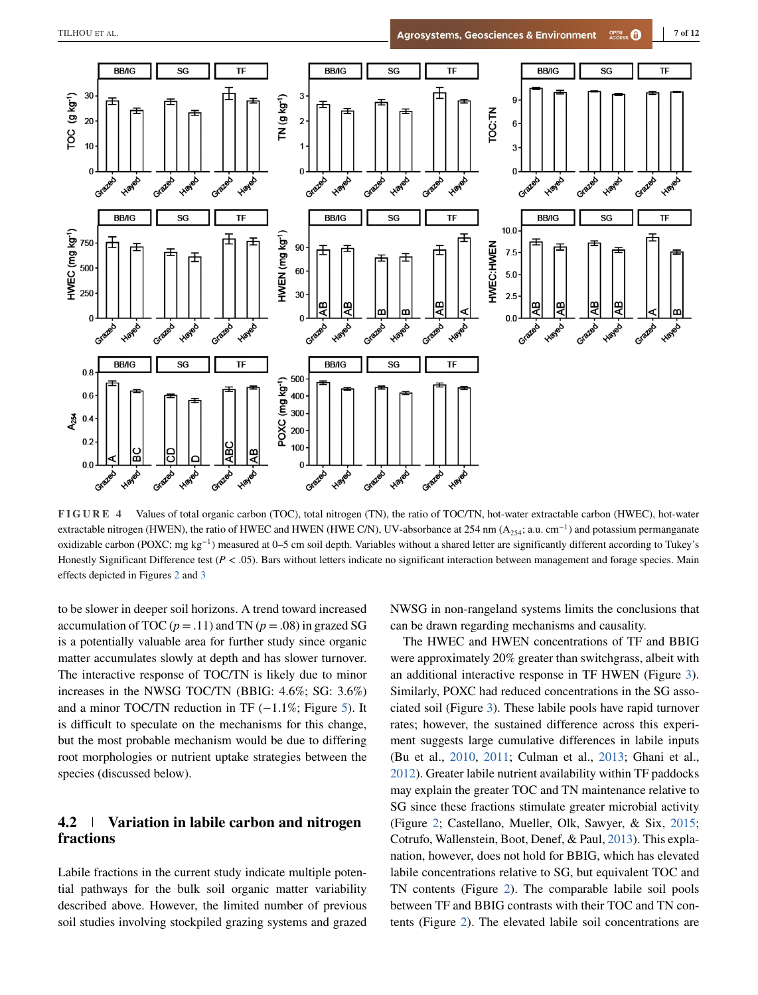<span id="page-6-0"></span>

**FIGURE 4** Values of total organic carbon (TOC), total nitrogen (TN), the ratio of TOC/TN, hot-water extractable carbon (HWEC), hot-water extractable nitrogen (HWEN), the ratio of HWEC and HWEN (HWE C/N), UV-absorbance at 254 nm (A<sub>254</sub>; a.u. cm<sup>-1</sup>) and potassium permanganate oxidizable carbon (POXC; mg kg<sup>-1</sup>) measured at 0–5 cm soil depth. Variables without a shared letter are significantly different according to Tukey's Honestly Significant Difference test ( $P < .05$ ). Bars without letters indicate no significant interaction between management and forage species. Main effects depicted in Figures [2](#page-4-0) and [3](#page-5-0)

to be slower in deeper soil horizons. A trend toward increased accumulation of TOC ( $p = .11$ ) and TN ( $p = .08$ ) in grazed SG is a potentially valuable area for further study since organic matter accumulates slowly at depth and has slower turnover. The interactive response of TOC/TN is likely due to minor increases in the NWSG TOC/TN (BBIG: 4.6%; SG: 3.6%) and a minor TOC/TN reduction in TF  $(-1.1\%;$  Figure [5\)](#page-7-0). It is difficult to speculate on the mechanisms for this change, but the most probable mechanism would be due to differing root morphologies or nutrient uptake strategies between the species (discussed below).

# **4.2 Variation in labile carbon and nitrogen fractions**

Labile fractions in the current study indicate multiple potential pathways for the bulk soil organic matter variability described above. However, the limited number of previous soil studies involving stockpiled grazing systems and grazed

NWSG in non-rangeland systems limits the conclusions that can be drawn regarding mechanisms and causality.

The HWEC and HWEN concentrations of TF and BBIG were approximately 20% greater than switchgrass, albeit with an additional interactive response in TF HWEN (Figure [3\)](#page-5-0). Similarly, POXC had reduced concentrations in the SG associated soil (Figure [3\)](#page-5-0). These labile pools have rapid turnover rates; however, the sustained difference across this experiment suggests large cumulative differences in labile inputs (Bu et al., [2010,](#page-9-0) [2011;](#page-9-0) Culman et al., [2013;](#page-9-0) Ghani et al., [2012\)](#page-10-0). Greater labile nutrient availability within TF paddocks may explain the greater TOC and TN maintenance relative to SG since these fractions stimulate greater microbial activity (Figure [2;](#page-4-0) Castellano, Mueller, Olk, Sawyer, & Six, [2015;](#page-9-0) Cotrufo, Wallenstein, Boot, Denef, & Paul, [2013\)](#page-9-0). This explanation, however, does not hold for BBIG, which has elevated labile concentrations relative to SG, but equivalent TOC and TN contents (Figure [2\)](#page-4-0). The comparable labile soil pools between TF and BBIG contrasts with their TOC and TN contents (Figure [2\)](#page-4-0). The elevated labile soil concentrations are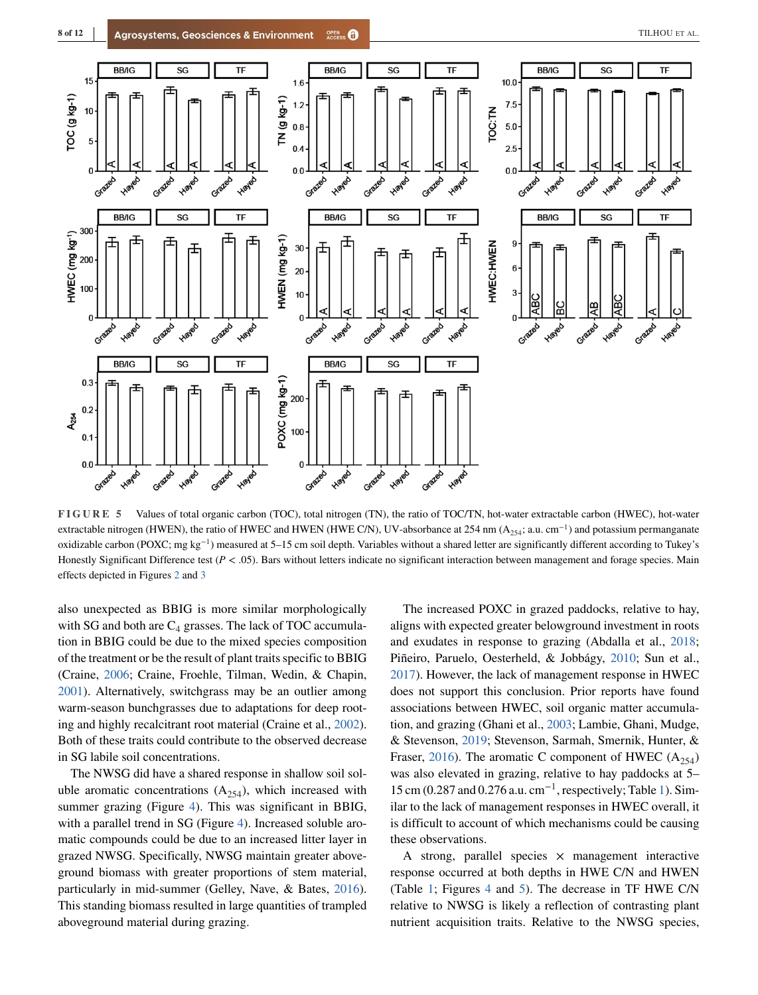<span id="page-7-0"></span>

**FIGURE 5** Values of total organic carbon (TOC), total nitrogen (TN), the ratio of TOC/TN, hot-water extractable carbon (HWEC), hot-water extractable nitrogen (HWEN), the ratio of HWEC and HWEN (HWE C/N), UV-absorbance at 254 nm (A<sub>254</sub>; a.u. cm<sup>-1</sup>) and potassium permanganate oxidizable carbon (POXC; mg kg−1) measured at 5–15 cm soil depth. Variables without a shared letter are significantly different according to Tukey's Honestly Significant Difference test ( $P < .05$ ). Bars without letters indicate no significant interaction between management and forage species. Main effects depicted in Figures [2](#page-4-0) and [3](#page-5-0)

also unexpected as BBIG is more similar morphologically with SG and both are  $C_4$  grasses. The lack of TOC accumulation in BBIG could be due to the mixed species composition of the treatment or be the result of plant traits specific to BBIG (Craine, [2006;](#page-9-0) Craine, Froehle, Tilman, Wedin, & Chapin, [2001\)](#page-9-0). Alternatively, switchgrass may be an outlier among warm-season bunchgrasses due to adaptations for deep rooting and highly recalcitrant root material (Craine et al., [2002\)](#page-9-0). Both of these traits could contribute to the observed decrease in SG labile soil concentrations.

The NWSG did have a shared response in shallow soil soluble aromatic concentrations  $(A_{254})$ , which increased with summer grazing (Figure [4\)](#page-6-0). This was significant in BBIG, with a parallel trend in SG (Figure [4\)](#page-6-0). Increased soluble aromatic compounds could be due to an increased litter layer in grazed NWSG. Specifically, NWSG maintain greater aboveground biomass with greater proportions of stem material, particularly in mid-summer (Gelley, Nave, & Bates, [2016\)](#page-10-0). This standing biomass resulted in large quantities of trampled aboveground material during grazing.

The increased POXC in grazed paddocks, relative to hay, aligns with expected greater belowground investment in roots and exudates in response to grazing (Abdalla et al., [2018;](#page-9-0) Piñeiro, Paruelo, Oesterheld, & Jobbágy, [2010;](#page-11-0) Sun et al., [2017\)](#page-11-0). However, the lack of management response in HWEC does not support this conclusion. Prior reports have found associations between HWEC, soil organic matter accumulation, and grazing (Ghani et al., [2003;](#page-10-0) Lambie, Ghani, Mudge, & Stevenson, [2019;](#page-10-0) Stevenson, Sarmah, Smernik, Hunter, & Fraser, [2016\)](#page-11-0). The aromatic C component of HWEC  $(A_{254})$ was also elevated in grazing, relative to hay paddocks at 5–  $15 \text{ cm}$  (0.287 and 0.276 a.u. cm<sup>-1</sup>, respectively; Table [1\)](#page-4-0). Similar to the lack of management responses in HWEC overall, it is difficult to account of which mechanisms could be causing these observations.

A strong, parallel species  $\times$  management interactive response occurred at both depths in HWE C/N and HWEN (Table [1;](#page-4-0) Figures [4](#page-6-0) and 5). The decrease in TF HWE C/N relative to NWSG is likely a reflection of contrasting plant nutrient acquisition traits. Relative to the NWSG species,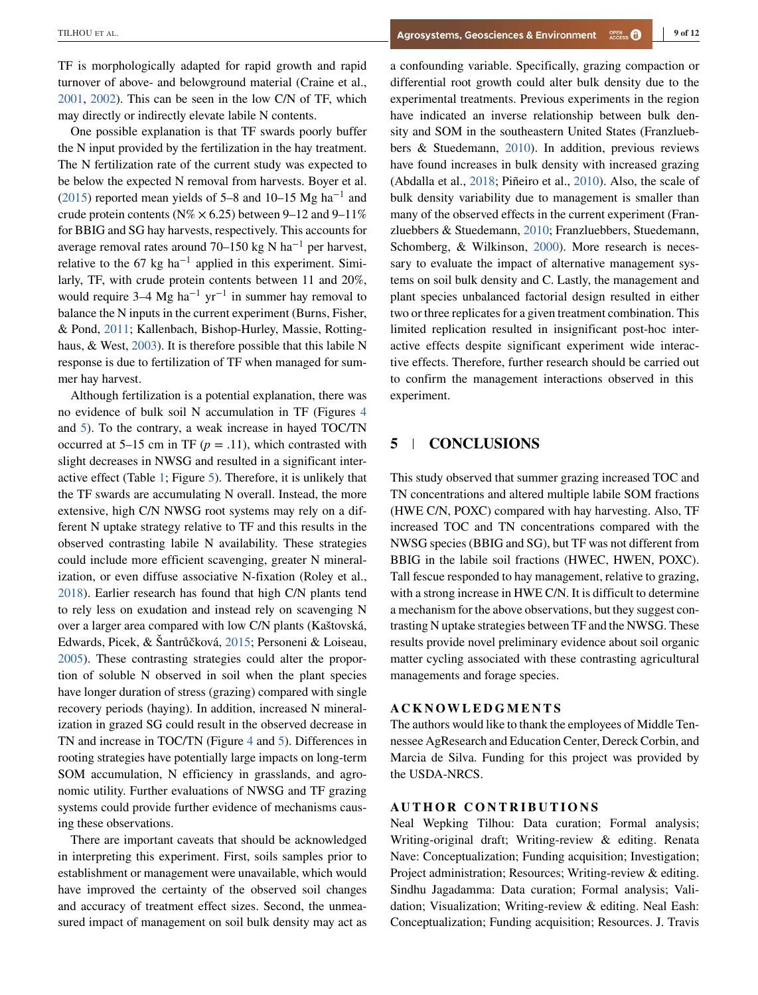TF is morphologically adapted for rapid growth and rapid turnover of above- and belowground material (Craine et al., [2001,](#page-9-0) [2002\)](#page-9-0). This can be seen in the low C/N of TF, which may directly or indirectly elevate labile N contents.

One possible explanation is that TF swards poorly buffer the N input provided by the fertilization in the hay treatment. The N fertilization rate of the current study was expected to be below the expected N removal from harvests. Boyer et al. [\(2015\)](#page-9-0) reported mean yields of 5–8 and 10–15 Mg ha<sup>-1</sup> and crude protein contents ( $N\% \times 6.25$ ) between 9–12 and 9–11% for BBIG and SG hay harvests, respectively. This accounts for average removal rates around 70–150 kg N ha−<sup>1</sup> per harvest, relative to the 67 kg ha<sup>-1</sup> applied in this experiment. Similarly, TF, with crude protein contents between 11 and 20%, would require 3–4 Mg ha<sup>-1</sup> yr<sup>-1</sup> in summer hay removal to balance the N inputs in the current experiment (Burns, Fisher, & Pond, [2011;](#page-9-0) Kallenbach, Bishop-Hurley, Massie, Rottinghaus, & West, [2003\)](#page-10-0). It is therefore possible that this labile N response is due to fertilization of TF when managed for summer hay harvest.

Although fertilization is a potential explanation, there was no evidence of bulk soil N accumulation in TF (Figures [4](#page-6-0) and [5\)](#page-7-0). To the contrary, a weak increase in hayed TOC/TN occurred at 5–15 cm in TF  $(p = .11)$ , which contrasted with slight decreases in NWSG and resulted in a significant interactive effect (Table [1;](#page-4-0) Figure [5\)](#page-7-0). Therefore, it is unlikely that the TF swards are accumulating N overall. Instead, the more extensive, high C/N NWSG root systems may rely on a different N uptake strategy relative to TF and this results in the observed contrasting labile N availability. These strategies could include more efficient scavenging, greater N mineralization, or even diffuse associative N-fixation (Roley et al., [2018\)](#page-11-0). Earlier research has found that high C/N plants tend to rely less on exudation and instead rely on scavenging N over a larger area compared with low C/N plants (Kaštovská, Edwards, Picek, & Šantrůčková, [2015;](#page-10-0) Personeni & Loiseau, [2005\)](#page-11-0). These contrasting strategies could alter the proportion of soluble N observed in soil when the plant species have longer duration of stress (grazing) compared with single recovery periods (haying). In addition, increased N mineralization in grazed SG could result in the observed decrease in TN and increase in TOC/TN (Figure [4](#page-6-0) and [5\)](#page-7-0). Differences in rooting strategies have potentially large impacts on long-term SOM accumulation, N efficiency in grasslands, and agronomic utility. Further evaluations of NWSG and TF grazing systems could provide further evidence of mechanisms causing these observations.

There are important caveats that should be acknowledged in interpreting this experiment. First, soils samples prior to establishment or management were unavailable, which would have improved the certainty of the observed soil changes and accuracy of treatment effect sizes. Second, the unmeasured impact of management on soil bulk density may act as a confounding variable. Specifically, grazing compaction or differential root growth could alter bulk density due to the experimental treatments. Previous experiments in the region have indicated an inverse relationship between bulk density and SOM in the southeastern United States (Franzluebbers & Stuedemann, [2010\)](#page-10-0). In addition, previous reviews have found increases in bulk density with increased grazing (Abdalla et al., [2018;](#page-9-0) Piñeiro et al., [2010\)](#page-11-0). Also, the scale of bulk density variability due to management is smaller than many of the observed effects in the current experiment (Franzluebbers & Stuedemann, [2010;](#page-10-0) Franzluebbers, Stuedemann, Schomberg, & Wilkinson, [2000\)](#page-10-0). More research is necessary to evaluate the impact of alternative management systems on soil bulk density and C. Lastly, the management and plant species unbalanced factorial design resulted in either two or three replicates for a given treatment combination. This limited replication resulted in insignificant post-hoc interactive effects despite significant experiment wide interactive effects. Therefore, further research should be carried out to confirm the management interactions observed in this experiment.

# **5 CONCLUSIONS**

This study observed that summer grazing increased TOC and TN concentrations and altered multiple labile SOM fractions (HWE C/N, POXC) compared with hay harvesting. Also, TF increased TOC and TN concentrations compared with the NWSG species (BBIG and SG), but TF was not different from BBIG in the labile soil fractions (HWEC, HWEN, POXC). Tall fescue responded to hay management, relative to grazing, with a strong increase in HWE C/N. It is difficult to determine a mechanism for the above observations, but they suggest contrasting N uptake strategies between TF and the NWSG. These results provide novel preliminary evidence about soil organic matter cycling associated with these contrasting agricultural managements and forage species.

The authors would like to thank the employees of Middle Tennessee AgResearch and Education Center, Dereck Corbin, and Marcia de Silva. Funding for this project was provided by the USDA-NRCS.

**AUTHOR CONTRIBUTIONS** Neal Wepking Tilhou: Data curation; Formal analysis; Writing-original draft; Writing-review & editing. Renata Nave: Conceptualization; Funding acquisition; Investigation; Project administration; Resources; Writing-review & editing. Sindhu Jagadamma: Data curation; Formal analysis; Validation; Visualization; Writing-review & editing. Neal Eash: Conceptualization; Funding acquisition; Resources. J. Travis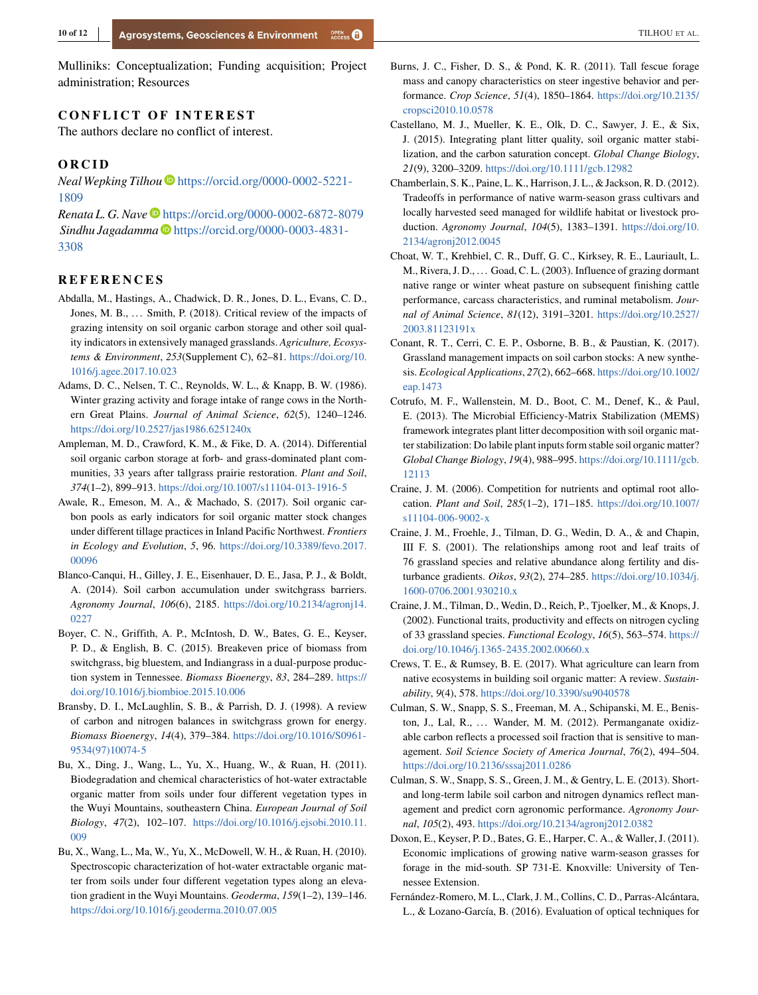<span id="page-9-0"></span>Mulliniks: Conceptualization; Funding acquisition; Project administration; Resources

#### **CONFLICT OF INTEREST**

The authors declare no conflict of interest.

**ORCID** *Neal Wepking Tilhou* [https://orcid.org/0000-0002-5221-](https://orcid.org/0000-0002-5221-1809) [1809](https://orcid.org/0000-0002-5221-1809)

*Renata L. G. Nave* <https://orcid.org/0000-0002-6872-8079> *Sindhu Jagadamma* [https://orcid.org/0000-0003-4831-](https://orcid.org/0000-0003-4831-3308) [3308](https://orcid.org/0000-0003-4831-3308)

- **REFERENCES** Abdalla, M., Hastings, A., Chadwick, D. R., Jones, D. L., Evans, C. D., Jones, M. B., ... Smith, P. (2018). Critical review of the impacts of grazing intensity on soil organic carbon storage and other soil quality indicators in extensively managed grasslands. *Agriculture, Ecosystems & Environment*, *253*(Supplement C), 62–81. [https://doi.org/10.](https://doi.org/10.1016/j.agee.2017.10.023) [1016/j.agee.2017.10.023](https://doi.org/10.1016/j.agee.2017.10.023)
- Adams, D. C., Nelsen, T. C., Reynolds, W. L., & Knapp, B. W. (1986). Winter grazing activity and forage intake of range cows in the Northern Great Plains. *Journal of Animal Science*, *62*(5), 1240–1246. <https://doi.org/10.2527/jas1986.6251240x>
- Ampleman, M. D., Crawford, K. M., & Fike, D. A. (2014). Differential soil organic carbon storage at forb- and grass-dominated plant communities, 33 years after tallgrass prairie restoration. *Plant and Soil*, *374*(1–2), 899–913. <https://doi.org/10.1007/s11104-013-1916-5>
- Awale, R., Emeson, M. A., & Machado, S. (2017). Soil organic carbon pools as early indicators for soil organic matter stock changes under different tillage practices in Inland Pacific Northwest. *Frontiers in Ecology and Evolution*, *5*, 96. [https://doi.org/10.3389/fevo.2017.](https://doi.org/10.3389/fevo.2017.00096) [00096](https://doi.org/10.3389/fevo.2017.00096)
- Blanco-Canqui, H., Gilley, J. E., Eisenhauer, D. E., Jasa, P. J., & Boldt, A. (2014). Soil carbon accumulation under switchgrass barriers. *Agronomy Journal*, *106*(6), 2185. [https://doi.org/10.2134/agronj14.](https://doi.org/10.2134/agronj14.0227) [0227](https://doi.org/10.2134/agronj14.0227)
- Boyer, C. N., Griffith, A. P., McIntosh, D. W., Bates, G. E., Keyser, P. D., & English, B. C. (2015). Breakeven price of biomass from switchgrass, big bluestem, and Indiangrass in a dual-purpose production system in Tennessee. *Biomass Bioenergy*, *83*, 284–289. [https://](https://doi.org/10.1016/j.biombioe.2015.10.006) [doi.org/10.1016/j.biombioe.2015.10.006](https://doi.org/10.1016/j.biombioe.2015.10.006)
- Bransby, D. I., McLaughlin, S. B., & Parrish, D. J. (1998). A review of carbon and nitrogen balances in switchgrass grown for energy. *Biomass Bioenergy*, *14*(4), 379–384. [https://doi.org/10.1016/S0961-](https://doi.org/10.1016/S0961-9534(97)10074-5) [9534\(97\)10074-5](https://doi.org/10.1016/S0961-9534(97)10074-5)
- Bu, X., Ding, J., Wang, L., Yu, X., Huang, W., & Ruan, H. (2011). Biodegradation and chemical characteristics of hot-water extractable organic matter from soils under four different vegetation types in the Wuyi Mountains, southeastern China. *European Journal of Soil Biology*, *47*(2), 102–107. [https://doi.org/10.1016/j.ejsobi.2010.11.](https://doi.org/10.1016/j.ejsobi.2010.11.009) [009](https://doi.org/10.1016/j.ejsobi.2010.11.009)
- Bu, X., Wang, L., Ma, W., Yu, X., McDowell, W. H., & Ruan, H. (2010). Spectroscopic characterization of hot-water extractable organic matter from soils under four different vegetation types along an elevation gradient in the Wuyi Mountains. *Geoderma*, *159*(1–2), 139–146. <https://doi.org/10.1016/j.geoderma.2010.07.005>
- Burns, J. C., Fisher, D. S., & Pond, K. R. (2011). Tall fescue forage mass and canopy characteristics on steer ingestive behavior and performance. *Crop Science*, *51*(4), 1850–1864. [https://doi.org/10.2135/](https://doi.org/10.2135/cropsci2010.10.0578) [cropsci2010.10.0578](https://doi.org/10.2135/cropsci2010.10.0578)
- Castellano, M. J., Mueller, K. E., Olk, D. C., Sawyer, J. E., & Six, J. (2015). Integrating plant litter quality, soil organic matter stabilization, and the carbon saturation concept. *Global Change Biology*, *21*(9), 3200–3209. <https://doi.org/10.1111/gcb.12982>
- Chamberlain, S. K., Paine, L. K., Harrison, J. L., & Jackson, R. D. (2012). Tradeoffs in performance of native warm-season grass cultivars and locally harvested seed managed for wildlife habitat or livestock production. *Agronomy Journal*, *104*(5), 1383–1391. [https://doi.org/10.](https://doi.org/10.2134/agronj2012.0045) [2134/agronj2012.0045](https://doi.org/10.2134/agronj2012.0045)
- Choat, W. T., Krehbiel, C. R., Duff, G. C., Kirksey, R. E., Lauriault, L. M., Rivera, J. D., ... Goad, C. L. (2003). Influence of grazing dormant native range or winter wheat pasture on subsequent finishing cattle performance, carcass characteristics, and ruminal metabolism. *Journal of Animal Science*, *81*(12), 3191–3201. [https://doi.org/10.2527/](https://doi.org/10.2527/2003.81123191x) [2003.81123191x](https://doi.org/10.2527/2003.81123191x)
- Conant, R. T., Cerri, C. E. P., Osborne, B. B., & Paustian, K. (2017). Grassland management impacts on soil carbon stocks: A new synthesis. *Ecological Applications*, *27*(2), 662–668. [https://doi.org/10.1002/](https://doi.org/10.1002/eap.1473) [eap.1473](https://doi.org/10.1002/eap.1473)
- Cotrufo, M. F., Wallenstein, M. D., Boot, C. M., Denef, K., & Paul, E. (2013). The Microbial Efficiency-Matrix Stabilization (MEMS) framework integrates plant litter decomposition with soil organic matter stabilization: Do labile plant inputs form stable soil organic matter? *Global Change Biology*, *19*(4), 988–995. [https://doi.org/10.1111/gcb.](https://doi.org/10.1111/gcb.12113) [12113](https://doi.org/10.1111/gcb.12113)
- Craine, J. M. (2006). Competition for nutrients and optimal root allocation. *Plant and Soil*, *285*(1–2), 171–185. [https://doi.org/10.1007/](https://doi.org/10.1007/s11104-006-9002-x) [s11104-006-9002-x](https://doi.org/10.1007/s11104-006-9002-x)
- Craine, J. M., Froehle, J., Tilman, D. G., Wedin, D. A., & and Chapin, III F. S. (2001). The relationships among root and leaf traits of 76 grassland species and relative abundance along fertility and disturbance gradients. *Oikos*, *93*(2), 274–285. [https://doi.org/10.1034/j.](https://doi.org/10.1034/j.1600-0706.2001.930210.x) [1600-0706.2001.930210.x](https://doi.org/10.1034/j.1600-0706.2001.930210.x)
- Craine, J. M., Tilman, D., Wedin, D., Reich, P., Tjoelker, M., & Knops, J. (2002). Functional traits, productivity and effects on nitrogen cycling of 33 grassland species. *Functional Ecology*, *16*(5), 563–574. [https://](https://doi.org/10.1046/j.1365-2435.2002.00660.x) [doi.org/10.1046/j.1365-2435.2002.00660.x](https://doi.org/10.1046/j.1365-2435.2002.00660.x)
- Crews, T. E., & Rumsey, B. E. (2017). What agriculture can learn from native ecosystems in building soil organic matter: A review. *Sustainability*, *9*(4), 578. <https://doi.org/10.3390/su9040578>
- Culman, S. W., Snapp, S. S., Freeman, M. A., Schipanski, M. E., Beniston, J., Lal, R., ... Wander, M. M. (2012). Permanganate oxidizable carbon reflects a processed soil fraction that is sensitive to management. *Soil Science Society of America Journal*, *76*(2), 494–504. <https://doi.org/10.2136/sssaj2011.0286>
- Culman, S. W., Snapp, S. S., Green, J. M., & Gentry, L. E. (2013). Shortand long-term labile soil carbon and nitrogen dynamics reflect management and predict corn agronomic performance. *Agronomy Journal*, *105*(2), 493. <https://doi.org/10.2134/agronj2012.0382>
- Doxon, E., Keyser, P. D., Bates, G. E., Harper, C. A., & Waller, J. (2011). Economic implications of growing native warm-season grasses for forage in the mid-south. SP 731-E. Knoxville: University of Tennessee Extension.
- Fernández-Romero, M. L., Clark, J. M., Collins, C. D., Parras-Alcántara, L., & Lozano-García, B. (2016). Evaluation of optical techniques for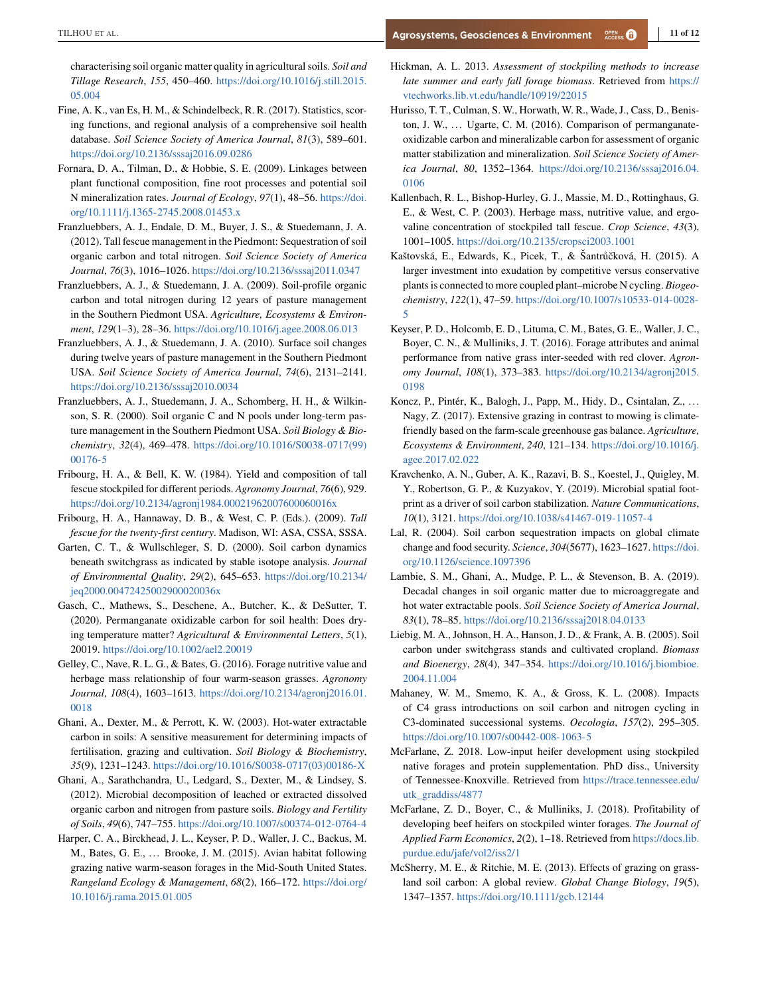<span id="page-10-0"></span>characterising soil organic matter quality in agricultural soils. *Soil and Tillage Research*, *155*, 450–460. [https://doi.org/10.1016/j.still.2015.](https://doi.org/10.1016/j.still.2015.05.004) [05.004](https://doi.org/10.1016/j.still.2015.05.004)

- Fine, A. K., van Es, H. M., & Schindelbeck, R. R. (2017). Statistics, scoring functions, and regional analysis of a comprehensive soil health database. *Soil Science Society of America Journal*, *81*(3), 589–601. <https://doi.org/10.2136/sssaj2016.09.0286>
- Fornara, D. A., Tilman, D., & Hobbie, S. E. (2009). Linkages between plant functional composition, fine root processes and potential soil N mineralization rates. *Journal of Ecology*, *97*(1), 48–56. [https://doi.](https://doi.org/10.1111/j.1365-2745.2008.01453.x) [org/10.1111/j.1365-2745.2008.01453.x](https://doi.org/10.1111/j.1365-2745.2008.01453.x)
- Franzluebbers, A. J., Endale, D. M., Buyer, J. S., & Stuedemann, J. A. (2012). Tall fescue management in the Piedmont: Sequestration of soil organic carbon and total nitrogen. *Soil Science Society of America Journal*, *76*(3), 1016–1026. <https://doi.org/10.2136/sssaj2011.0347>
- Franzluebbers, A. J., & Stuedemann, J. A. (2009). Soil-profile organic carbon and total nitrogen during 12 years of pasture management in the Southern Piedmont USA. *Agriculture, Ecosystems & Environment*, *129*(1–3), 28–36. <https://doi.org/10.1016/j.agee.2008.06.013>
- Franzluebbers, A. J., & Stuedemann, J. A. (2010). Surface soil changes during twelve years of pasture management in the Southern Piedmont USA. *Soil Science Society of America Journal*, *74*(6), 2131–2141. <https://doi.org/10.2136/sssaj2010.0034>
- Franzluebbers, A. J., Stuedemann, J. A., Schomberg, H. H., & Wilkinson, S. R. (2000). Soil organic C and N pools under long-term pasture management in the Southern Piedmont USA. *Soil Biology & Biochemistry*, *32*(4), 469–478. [https://doi.org/10.1016/S0038-0717\(99\)](https://doi.org/10.1016/S0038-0717(99)00176-5) [00176-5](https://doi.org/10.1016/S0038-0717(99)00176-5)
- Fribourg, H. A., & Bell, K. W. (1984). Yield and composition of tall fescue stockpiled for different periods. *Agronomy Journal*, *76*(6), 929. <https://doi.org/10.2134/agronj1984.00021962007600060016x>
- Fribourg, H. A., Hannaway, D. B., & West, C. P. (Eds.). (2009). *Tall fescue for the twenty-first century*. Madison, WI: ASA, CSSA, SSSA.
- Garten, C. T., & Wullschleger, S. D. (2000). Soil carbon dynamics beneath switchgrass as indicated by stable isotope analysis. *Journal of Environmental Quality*, *29*(2), 645–653. [https://doi.org/10.2134/](https://doi.org/10.2134/jeq2000.00472425002900020036x) [jeq2000.00472425002900020036x](https://doi.org/10.2134/jeq2000.00472425002900020036x)
- Gasch, C., Mathews, S., Deschene, A., Butcher, K., & DeSutter, T. (2020). Permanganate oxidizable carbon for soil health: Does drying temperature matter? *Agricultural & Environmental Letters*, *5*(1), 20019. <https://doi.org/10.1002/ael2.20019>
- Gelley, C., Nave, R. L. G., & Bates, G. (2016). Forage nutritive value and herbage mass relationship of four warm-season grasses. *Agronomy Journal*, *108*(4), 1603–1613. [https://doi.org/10.2134/agronj2016.01.](https://doi.org/10.2134/agronj2016.01.0018) [0018](https://doi.org/10.2134/agronj2016.01.0018)
- Ghani, A., Dexter, M., & Perrott, K. W. (2003). Hot-water extractable carbon in soils: A sensitive measurement for determining impacts of fertilisation, grazing and cultivation. *Soil Biology & Biochemistry*, *35*(9), 1231–1243. [https://doi.org/10.1016/S0038-0717\(03\)00186-X](https://doi.org/10.1016/S0038-0717(03)00186-X)
- Ghani, A., Sarathchandra, U., Ledgard, S., Dexter, M., & Lindsey, S. (2012). Microbial decomposition of leached or extracted dissolved organic carbon and nitrogen from pasture soils. *Biology and Fertility of Soils*, *49*(6), 747–755. <https://doi.org/10.1007/s00374-012-0764-4>
- Harper, C. A., Birckhead, J. L., Keyser, P. D., Waller, J. C., Backus, M. M., Bates, G. E., ... Brooke, J. M. (2015). Avian habitat following grazing native warm-season forages in the Mid-South United States. *Rangeland Ecology & Management*, *68*(2), 166–172. [https://doi.org/](https://doi.org/10.1016/j.rama.2015.01.005) [10.1016/j.rama.2015.01.005](https://doi.org/10.1016/j.rama.2015.01.005)
- Hickman, A. L. 2013. *Assessment of stockpiling methods to increase late summer and early fall forage biomass*. Retrieved from [https://](https://vtechworks.lib.vt.edu/handle/10919/22015) [vtechworks.lib.vt.edu/handle/10919/22015](https://vtechworks.lib.vt.edu/handle/10919/22015)
- Hurisso, T. T., Culman, S. W., Horwath, W. R., Wade, J., Cass, D., Beniston, J. W., ... Ugarte, C. M. (2016). Comparison of permanganateoxidizable carbon and mineralizable carbon for assessment of organic matter stabilization and mineralization. *Soil Science Society of America Journal*, *80*, 1352–1364. [https://doi.org/10.2136/sssaj2016.04.](https://doi.org/10.2136/sssaj2016.04.0106) [0106](https://doi.org/10.2136/sssaj2016.04.0106)
- Kallenbach, R. L., Bishop-Hurley, G. J., Massie, M. D., Rottinghaus, G. E., & West, C. P. (2003). Herbage mass, nutritive value, and ergovaline concentration of stockpiled tall fescue. *Crop Science*, *43*(3), 1001–1005. <https://doi.org/10.2135/cropsci2003.1001>
- Kaštovská, E., Edwards, K., Picek, T., & Šantrůčková, H. (2015). A larger investment into exudation by competitive versus conservative plants is connected to more coupled plant–microbe N cycling. *Biogeochemistry*, *122*(1), 47–59. [https://doi.org/10.1007/s10533-014-0028-](https://doi.org/10.1007/s10533-014-0028-5) [5](https://doi.org/10.1007/s10533-014-0028-5)
- Keyser, P. D., Holcomb, E. D., Lituma, C. M., Bates, G. E., Waller, J. C., Boyer, C. N., & Mulliniks, J. T. (2016). Forage attributes and animal performance from native grass inter-seeded with red clover. *Agronomy Journal*, *108*(1), 373–383. [https://doi.org/10.2134/agronj2015.](https://doi.org/10.2134/agronj2015.0198) [0198](https://doi.org/10.2134/agronj2015.0198)
- Koncz, P., Pintér, K., Balogh, J., Papp, M., Hidy, D., Csintalan, Z., . . . Nagy, Z. (2017). Extensive grazing in contrast to mowing is climatefriendly based on the farm-scale greenhouse gas balance. *Agriculture, Ecosystems & Environment*, *240*, 121–134. [https://doi.org/10.1016/j.](https://doi.org/10.1016/j.agee.2017.02.022) [agee.2017.02.022](https://doi.org/10.1016/j.agee.2017.02.022)
- Kravchenko, A. N., Guber, A. K., Razavi, B. S., Koestel, J., Quigley, M. Y., Robertson, G. P., & Kuzyakov, Y. (2019). Microbial spatial footprint as a driver of soil carbon stabilization. *Nature Communications*, *10*(1), 3121. <https://doi.org/10.1038/s41467-019-11057-4>
- Lal, R. (2004). Soil carbon sequestration impacts on global climate change and food security. *Science*, *304*(5677), 1623–1627. [https://doi.](https://doi.org/10.1126/science.1097396) [org/10.1126/science.1097396](https://doi.org/10.1126/science.1097396)
- Lambie, S. M., Ghani, A., Mudge, P. L., & Stevenson, B. A. (2019). Decadal changes in soil organic matter due to microaggregate and hot water extractable pools. *Soil Science Society of America Journal*, *83*(1), 78–85. <https://doi.org/10.2136/sssaj2018.04.0133>
- Liebig, M. A., Johnson, H. A., Hanson, J. D., & Frank, A. B. (2005). Soil carbon under switchgrass stands and cultivated cropland. *Biomass and Bioenergy*, *28*(4), 347–354. [https://doi.org/10.1016/j.biombioe.](https://doi.org/10.1016/j.biombioe.2004.11.004) [2004.11.004](https://doi.org/10.1016/j.biombioe.2004.11.004)
- Mahaney, W. M., Smemo, K. A., & Gross, K. L. (2008). Impacts of C4 grass introductions on soil carbon and nitrogen cycling in C3-dominated successional systems. *Oecologia*, *157*(2), 295–305. <https://doi.org/10.1007/s00442-008-1063-5>
- McFarlane, Z. 2018. Low-input heifer development using stockpiled native forages and protein supplementation. PhD diss., University of Tennessee-Knoxville. Retrieved from [https://trace.tennessee.edu/](https://trace.tennessee.edu/utk_graddiss/4877) [utk\\_graddiss/4877](https://trace.tennessee.edu/utk_graddiss/4877)
- McFarlane, Z. D., Boyer, C., & Mulliniks, J. (2018). Profitability of developing beef heifers on stockpiled winter forages. *The Journal of Applied Farm Economics*, *2*(2), 1–18. Retrieved from [https://docs.lib.](https://docs.lib.purdue.edu/jafe/vol2/iss2/1) [purdue.edu/jafe/vol2/iss2/1](https://docs.lib.purdue.edu/jafe/vol2/iss2/1)
- McSherry, M. E., & Ritchie, M. E. (2013). Effects of grazing on grassland soil carbon: A global review. *Global Change Biology*, *19*(5), 1347–1357. <https://doi.org/10.1111/gcb.12144>